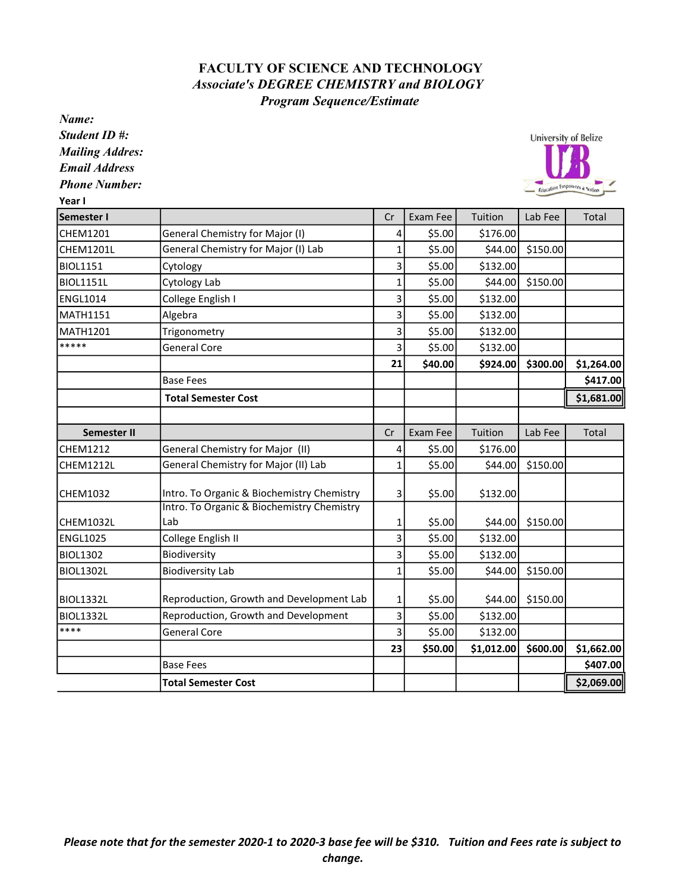## FACULTY OF SCIENCE AND TECHNOLOGY Program Sequence/Estimate Associate's DEGREE CHEMISTRY and BIOLOGY

Name:

Student ID #:

Mailing Addres:

Email Address

| <b>Phone Number:</b><br>Year I |                                            |              |                 |            |          | Education Emporsers & Nation |
|--------------------------------|--------------------------------------------|--------------|-----------------|------------|----------|------------------------------|
| Semester I                     |                                            | Cr           | Exam Fee        | Tuition    | Lab Fee  | Total                        |
| CHEM1201                       | <b>General Chemistry for Major (I)</b>     | 4            | \$5.00          | \$176.00   |          |                              |
| <b>CHEM1201L</b>               | General Chemistry for Major (I) Lab        | 1            | \$5.00          | \$44.00    | \$150.00 |                              |
| <b>BIOL1151</b>                | Cytology                                   | 3            | \$5.00          | \$132.00   |          |                              |
| <b>BIOL1151L</b>               | Cytology Lab                               | 1            | \$5.00          | \$44.00    | \$150.00 |                              |
| <b>ENGL1014</b>                | College English I                          | 3            | \$5.00          | \$132.00   |          |                              |
| <b>MATH1151</b>                | Algebra                                    | 3            | \$5.00          | \$132.00   |          |                              |
| <b>MATH1201</b>                | Trigonometry                               | 3            | \$5.00          | \$132.00   |          |                              |
| *****                          | <b>General Core</b>                        | 3            | \$5.00          | \$132.00   |          |                              |
|                                |                                            | 21           | \$40.00         | \$924.00   | \$300.00 | \$1,264.00                   |
|                                | <b>Base Fees</b>                           |              |                 |            |          | \$417.00                     |
|                                | <b>Total Semester Cost</b>                 |              |                 |            |          | \$1,681.00                   |
|                                |                                            |              |                 |            |          |                              |
| <b>Semester II</b>             |                                            | Cr           | <b>Exam Fee</b> | Tuition    | Lab Fee  | Total                        |
| <b>CHEM1212</b>                | General Chemistry for Major (II)           | 4            | \$5.00          | \$176.00   |          |                              |
| <b>CHEM1212L</b>               | General Chemistry for Major (II) Lab       | 1            | \$5.00          | \$44.00    | \$150.00 |                              |
| CHEM1032                       | Intro. To Organic & Biochemistry Chemistry | 3            | \$5.00          | \$132.00   |          |                              |
|                                | Intro. To Organic & Biochemistry Chemistry |              |                 |            |          |                              |
| <b>CHEM1032L</b>               | Lab                                        | 1            | \$5.00          | \$44.00    | \$150.00 |                              |
| <b>ENGL1025</b>                | College English II                         | 3            | \$5.00          | \$132.00   |          |                              |
| <b>BIOL1302</b>                | Biodiversity                               | 3            | \$5.00          | \$132.00   |          |                              |
| <b>BIOL1302L</b>               | <b>Biodiversity Lab</b>                    | $\mathbf{1}$ | \$5.00          | \$44.00    | \$150.00 |                              |
| <b>BIOL1332L</b>               | Reproduction, Growth and Development Lab   | $\mathbf 1$  | \$5.00          | \$44.00    | \$150.00 |                              |
| <b>BIOL1332L</b>               | Reproduction, Growth and Development       | 3            | \$5.00          | \$132.00   |          |                              |
| ****                           | <b>General Core</b>                        | 3            | \$5.00          | \$132.00   |          |                              |
|                                |                                            | 23           | \$50.00         | \$1,012.00 | \$600.00 | \$1,662.00                   |
|                                | <b>Base Fees</b>                           |              |                 |            |          | \$407.00                     |
|                                | <b>Total Semester Cost</b>                 |              |                 |            |          | \$2,069.00                   |